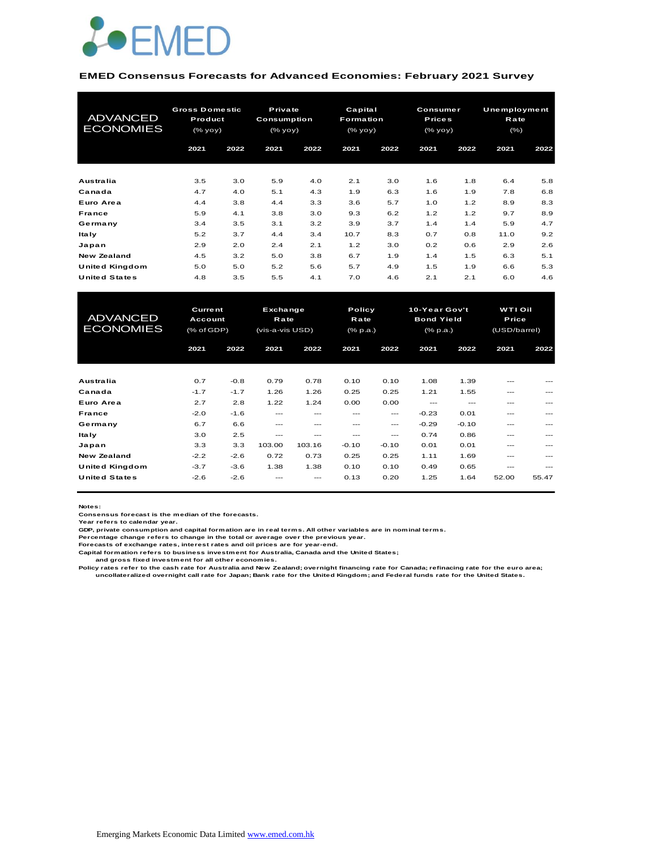

#### **EMED Consensus Forecasts for Advanced Economies: February 2021 Survey**

| <b>ADVANCED</b><br><b>ECONOMIES</b> | <b>Gross Domestic</b><br>Product<br>(% yoy) |            | Private<br>Consumption<br>(% |            |            | Capital<br><b>Formation</b><br>(% |            | Consumer<br><b>Prices</b><br>(% | <b>Unemployment</b><br>Rate<br>$(\% )$ |            |
|-------------------------------------|---------------------------------------------|------------|------------------------------|------------|------------|-----------------------------------|------------|---------------------------------|----------------------------------------|------------|
|                                     | 2021                                        | 2022       | 2021                         | 2022       | 2021       | 2022                              | 2021       | 2022                            | 2021                                   | 2022       |
| Australia                           | 3.5                                         | 3.0        | 5.9                          | 4.0        | 2.1        | 3.0                               | 1.6        | 1.8                             | 6.4                                    | 5.8        |
| Canada<br>Euro Area                 | 4.7<br>4.4                                  | 4.0<br>3.8 | 5.1<br>4.4                   | 4.3<br>3.3 | 1.9<br>3.6 | 6.3<br>5.7                        | 1.6<br>1.0 | 1.9<br>1.2                      | 7.8<br>8.9                             | 6.8<br>8.3 |
| France                              | 5.9                                         | 4.1        | 3.8                          | 3.0        | 9.3        | 6.2                               | 1.2        | 1.2                             | 9.7                                    | 8.9        |
| Germany                             | 3.4                                         | 3.5        | 3.1                          | 3.2        | 3.9        | 3.7                               | 1.4        | 1.4                             | 5.9                                    | 4.7        |
| ltaly                               | 5.2                                         | 3.7        | 4.4                          | 3.4        | 10.7       | 8.3                               | 0.7        | 0.8                             | 11.0                                   | 9.2        |
| Japan                               | 2.9                                         | 2.0        | 2.4                          | 2.1        | 1.2        | 3.0                               | 0.2        | 0.6                             | 2.9                                    | 2.6        |
| New Zealand                         | 4.5                                         | 3.2        | 5.0                          | 3.8        | 6.7        | 1.9                               | 1.4        | 1.5                             | 6.3                                    | 5.1        |
| United Kingdom                      | 5.0                                         | 5.0        | 5.2                          | 5.6        | 5.7        | 4.9                               | 1.5        | 1.9                             | 6.6                                    | 5.3        |
| <b>United States</b>                | 4.8                                         | 3.5        | 5.5                          | 4.1        | 7.0        | 4.6                               | 2.1        | 2.1                             | 6.0                                    | 4.6        |

| United Kingdom                      | 5.0                                            | 5.0    | 5.2                                        | 5.6     | 5.7     | 4.9                        | 1.5     | 1.9                                            | 6.6   | 5.3                                     |  |
|-------------------------------------|------------------------------------------------|--------|--------------------------------------------|---------|---------|----------------------------|---------|------------------------------------------------|-------|-----------------------------------------|--|
| <b>United States</b>                | 4.8                                            | 3.5    | 5.5                                        | 4.1     | 7.0     | 4.6                        | 2.1     | 2.1                                            | 6.0   | 4.6                                     |  |
|                                     |                                                |        |                                            |         |         |                            |         |                                                |       |                                         |  |
| <b>ADVANCED</b><br><b>ECONOMIES</b> | <b>Current</b><br>Account<br>$(%$ $(*$ of GDP) |        | Exchange<br><b>Rate</b><br>(vis-a-vis USD) |         |         | Policy<br>Rate<br>(% p.a.) |         | 10-Year Gov't<br><b>Bond Yield</b><br>(% p.a.) |       | <b>WTI Oil</b><br>Price<br>(USD/barrel) |  |
|                                     | 2021                                           | 2022   | 2021                                       | 2022    | 2021    | 2022                       | 2021    | 2022                                           | 2021  | 2022                                    |  |
|                                     |                                                |        |                                            |         |         |                            |         |                                                |       |                                         |  |
| Australia                           | 0.7                                            | $-0.8$ | 0.79                                       | 0.78    | 0.10    | 0.10                       | 1.08    | 1.39                                           |       |                                         |  |
| Canada                              | $-1.7$                                         | $-1.7$ | 1.26                                       | 1.26    | 0.25    | 0.25                       | 1.21    | 1.55                                           | ---   |                                         |  |
| Euro Area                           | 2.7                                            | 2.8    | 1.22                                       | 1.24    | 0.00    | 0.00                       | $---$   | $---$                                          | ---   | ---                                     |  |
| <b>France</b>                       | $-2.0$                                         | $-1.6$ | $---$                                      | ---     | ---     | $---$                      | $-0.23$ | 0.01                                           | ---   |                                         |  |
| Germany                             | 6.7                                            | 6.6    | $---$                                      | $- - -$ | $- - -$ | ---                        | $-0.29$ | $-0.10$                                        | ---   | ---                                     |  |
| <b>Italy</b>                        | 3.0                                            | 2.5    | $- - -$                                    | ---     | ---     | ---                        | 0.74    | 0.86                                           | ---   |                                         |  |
| Japan                               | 3.3                                            | 3.3    | 103.00                                     | 103.16  | $-0.10$ | $-0.10$                    | 0.01    | 0.01                                           | ---   | ---                                     |  |
| <b>New Zealand</b>                  | $-2.2$                                         | $-2.6$ | 0.72                                       | 0.73    | 0.25    | 0.25                       | 1.11    | 1.69                                           | ---   |                                         |  |
| United Kingdom                      | $-3.7$                                         | $-3.6$ | 1.38                                       | 1.38    | 0.10    | 0.10                       | 0.49    | 0.65                                           | ---   | ---                                     |  |
| <b>United States</b>                | $-2.6$                                         | $-2.6$ |                                            |         | 0.13    | 0.20                       | 1.25    | 1.64                                           | 52.00 | 55.47                                   |  |

**Notes:** 

**Consensus forecast is the median of the forecasts. Year refers to calendar year.**

**GDP, private consumption and capital formation are in real terms. All other variables are in nominal terms.**

**Percentage change refers to change in the total or average over the previous year. Forecasts of exchange rates, interest rates and oil prices are for year-end.**

**Capital formation refers to business investment for Australia, Canada and the United States;**

 **and gross fixed investment for all other economies.**

Policy rates refer to the cash rate for Australia and New Zealand; overnight financing rate for Canada; refinacing rate for the euro area;<br>uncollateralized overnight call rate for Japan; Bank rate for the United Kingdom; a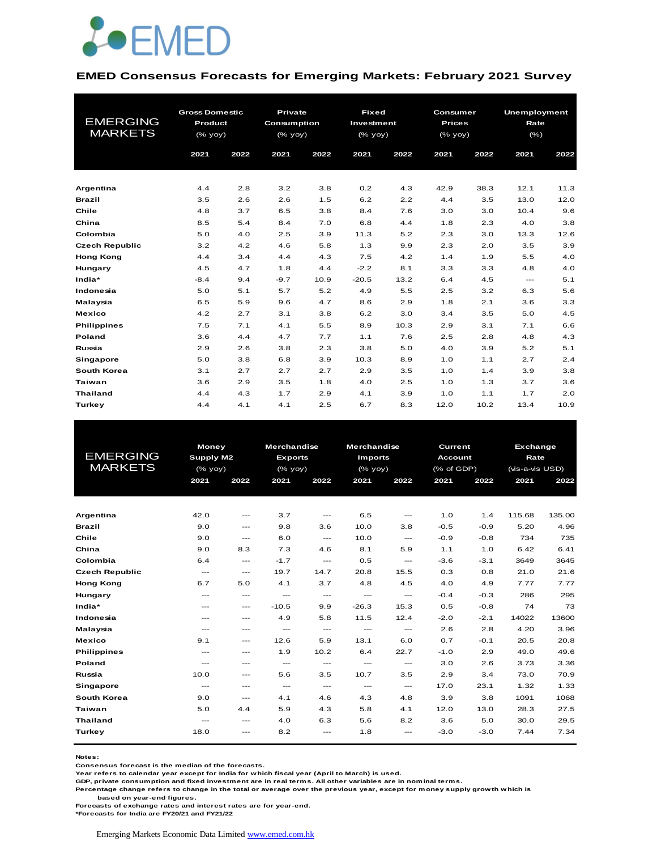

#### **EMED Consensus Forecasts for Emerging Markets: February 2021 Survey**

|                       | <b>Gross Domestic</b> |      | <b>Private</b> |      | <b>Fixed</b> |      | Consumer                                                           |      | <b>Unemployment</b> |      |
|-----------------------|-----------------------|------|----------------|------|--------------|------|--------------------------------------------------------------------|------|---------------------|------|
| <b>EMERGING</b>       | Product               |      | Consumption    |      | Investment   |      | <b>Prices</b>                                                      |      | Rate                |      |
| <b>MARKETS</b>        | $(\%$ yoy)            |      | $(%$ (% yoy)   |      | $(\%$ yoy)   |      | $(% \mathsf{Y}^{\prime }\mathsf{Y}^{\prime }\mathsf{Y}^{\prime })$ |      | $(\% )$             |      |
|                       | 2021                  | 2022 | 2021           | 2022 | 2021         | 2022 | 2021                                                               | 2022 | 2021                | 2022 |
|                       |                       |      |                |      |              |      |                                                                    |      |                     |      |
| Argentina             | 4.4                   | 2.8  | 3.2            | 3.8  | 0.2          | 4.3  | 42.9                                                               | 38.3 | 12.1                | 11.3 |
| <b>Brazil</b>         | 3.5                   | 2.6  | 2.6            | 1.5  | 6.2          | 2.2  | 4.4                                                                | 3.5  | 13.0                | 12.0 |
| Chile                 | 4.8                   | 3.7  | 6.5            | 3.8  | 8.4          | 7.6  | 3.0                                                                | 3.0  | 10.4                | 9.6  |
| China                 | 8.5                   | 5.4  | 8.4            | 7.0  | 6.8          | 4.4  | 1.8                                                                | 2.3  | 4.0                 | 3.8  |
| Colombia              | 5.0                   | 4.0  | 2.5            | 3.9  | 11.3         | 5.2  | 2.3                                                                | 3.0  | 13.3                | 12.6 |
| <b>Czech Republic</b> | 3.2                   | 4.2  | 4.6            | 5.8  | 1.3          | 9.9  | 2.3                                                                | 2.0  | 3.5                 | 3.9  |
| <b>Hong Kong</b>      | 4.4                   | 3.4  | 4.4            | 4.3  | 7.5          | 4.2  | 1.4                                                                | 1.9  | 5.5                 | 4.0  |
| Hungary               | 4.5                   | 4.7  | 1.8            | 4.4  | $-2.2$       | 8.1  | 3.3                                                                | 3.3  | 4.8                 | 4.0  |
| India*                | $-8.4$                | 9.4  | $-9.7$         | 10.9 | $-20.5$      | 13.2 | 6.4                                                                | 4.5  | $---$               | 5.1  |
| Indonesia             | 5.0                   | 5.1  | 5.7            | 5.2  | 4.9          | 5.5  | 2.5                                                                | 3.2  | 6.3                 | 5.6  |
| Malaysia              | 6.5                   | 5.9  | 9.6            | 4.7  | 8.6          | 2.9  | 1.8                                                                | 2.1  | 3.6                 | 3.3  |
| <b>Mexico</b>         | 4.2                   | 2.7  | 3.1            | 3.8  | 6.2          | 3.0  | 3.4                                                                | 3.5  | 5.0                 | 4.5  |
| <b>Philippines</b>    | 7.5                   | 7.1  | 4.1            | 5.5  | 8.9          | 10.3 | 2.9                                                                | 3.1  | 7.1                 | 6.6  |
| Poland                | 3.6                   | 4.4  | 4.7            | 7.7  | 1.1          | 7.6  | 2.5                                                                | 2.8  | 4.8                 | 4.3  |
| Russia                | 2.9                   | 2.6  | 3.8            | 2.3  | 3.8          | 5.0  | 4.0                                                                | 3.9  | 5.2                 | 5.1  |
| Singapore             | 5.0                   | 3.8  | 6.8            | 3.9  | 10.3         | 8.9  | 1.0                                                                | 1.1  | 2.7                 | 2.4  |
| South Korea           | 3.1                   | 2.7  | 2.7            | 2.7  | 2.9          | 3.5  | 1.0                                                                | 1.4  | 3.9                 | 3.8  |
| Taiwan                | 3.6                   | 2.9  | 3.5            | 1.8  | 4.0          | 2.5  | 1.0                                                                | 1.3  | 3.7                 | 3.6  |
| <b>Thailand</b>       | 4.4                   | 4.3  | 1.7            | 2.9  | 4.1          | 3.9  | 1.0                                                                | 1.1  | 1.7                 | 2.0  |
| Turkey                | 4.4                   | 4.1  | 4.1            | 2.5  | 6.7          | 8.3  | 12.0                                                               | 10.2 | 13.4                | 10.9 |

|                       |                          | <b>Money</b>                             |                                                                    | <b>Merchandise</b> | <b>Merchandise</b> |                                     | Current        |        | <b>Exchange</b> |        |
|-----------------------|--------------------------|------------------------------------------|--------------------------------------------------------------------|--------------------|--------------------|-------------------------------------|----------------|--------|-----------------|--------|
| <b>EMERGING</b>       | <b>Supply M2</b>         |                                          | <b>Exports</b>                                                     |                    | <b>Imports</b>     |                                     | <b>Account</b> |        | Rate            |        |
| <b>MARKETS</b>        | (% yoy)                  |                                          | $(% \mathsf{Y}^{\prime }\mathsf{Y}^{\prime }\mathsf{Y}^{\prime })$ |                    | $(\%$ yoy)         |                                     | (% of GDP)     |        | (vis-a-vis USD) |        |
|                       | 2021                     | 2022                                     | 2021                                                               | 2022               | 2021               | 2022                                | 2021           | 2022   | 2021            | 2022   |
|                       |                          |                                          |                                                                    |                    |                    |                                     |                |        |                 |        |
|                       |                          |                                          |                                                                    |                    |                    |                                     |                |        |                 |        |
| Argentina             | 42.0                     | $---$                                    | 3.7                                                                | $\cdots$           | 6.5                | $---$                               | 1.0            | 1.4    | 115.68          | 135.00 |
| <b>Brazil</b>         | 9.0                      | $\qquad \qquad \cdots$                   | 9.8                                                                | 3.6                | 10.0               | 3.8                                 | $-0.5$         | $-0.9$ | 5.20            | 4.96   |
| Chile                 | 9.0                      | $---$                                    | 6.0                                                                | $\frac{1}{2}$      | 10.0               | $\frac{1}{2}$                       | $-0.9$         | $-0.8$ | 734             | 735    |
| China                 | 9.0                      | 8.3                                      | 7.3                                                                | 4.6                | 8.1                | 5.9                                 | 1.1            | 1.0    | 6.42            | 6.41   |
| Colombia              | 6.4                      | $\cdots$                                 | $-1.7$                                                             | $\cdots$           | 0.5                | ---                                 | $-3.6$         | $-3.1$ | 3649            | 3645   |
| <b>Czech Republic</b> | $\hspace{0.05cm} \ldots$ | $\hspace{0.05cm} \ldots \hspace{0.05cm}$ | 19.7                                                               | 14.7               | 20.8               | 15.5                                | 0.3            | 0.8    | 21.0            | 21.6   |
| <b>Hong Kong</b>      | 6.7                      | 5.0                                      | 4.1                                                                | 3.7                | 4.8                | 4.5                                 | 4.0            | 4.9    | 7.77            | 7.77   |
| Hungary               | $---$                    | $\sim$ $\sim$                            | $---$                                                              | $\frac{1}{2}$      | $\sim$ $\sim$      | $\frac{1}{2}$                       | $-0.4$         | $-0.3$ | 286             | 295    |
| India*                | $---$                    | $\hspace{0.05cm} \ldots$                 | $-10.5$                                                            | 9.9                | $-26.3$            | 15.3                                | 0.5            | $-0.8$ | 74              | 73     |
| Indonesia             | $---$                    | $---$                                    | 4.9                                                                | 5.8                | 11.5               | 12.4                                | $-2.0$         | $-2.1$ | 14022           | 13600  |
| Malaysia              | $---$                    | ---                                      | $\frac{1}{2}$                                                      | $\cdots$           | $\frac{1}{2}$      | ---                                 | 2.6            | 2.8    | 4.20            | 3.96   |
| <b>Mexico</b>         | 9.1                      | ---                                      | 12.6                                                               | 5.9                | 13.1               | 6.0                                 | 0.7            | $-0.1$ | 20.5            | 20.8   |
| <b>Philippines</b>    | $---$                    | $---$                                    | 1.9                                                                | 10.2               | 6.4                | 22.7                                | $-1.0$         | 2.9    | 49.0            | 49.6   |
| <b>Poland</b>         | $\frac{1}{2}$            | ---                                      | $---$                                                              | $\frac{1}{2}$      | $---$              | $\frac{1}{2}$                       | 3.0            | 2.6    | 3.73            | 3.36   |
| Russia                | 10.0                     | ---                                      | 5.6                                                                | 3.5                | 10.7               | 3.5                                 | 2.9            | 3.4    | 73.0            | 70.9   |
| Singapore             | $\frac{1}{2}$            | ---                                      | $\cdots$                                                           | $\cdots$           | $---$              | $\hspace{0.05cm}---\hspace{0.05cm}$ | 17.0           | 23.1   | 1.32            | 1.33   |
| South Korea           | 9.0                      | $\hspace{0.05cm} \ldots$                 | 4.1                                                                | 4.6                | 4.3                | 4.8                                 | 3.9            | 3.8    | 1091            | 1068   |
| Taiwan                | 5.0                      | 4.4                                      | 5.9                                                                | 4.3                | 5.8                | 4.1                                 | 12.0           | 13.0   | 28.3            | 27.5   |
| <b>Thailand</b>       | $---$                    | ---                                      | 4.0                                                                | 6.3                | 5.6                | 8.2                                 | 3.6            | 5.0    | 30.0            | 29.5   |
| Turkey                | 18.0                     | ---                                      | 8.2                                                                | $---$              | 1.8                | ---                                 | $-3.0$         | $-3.0$ | 7.44            | 7.34   |
|                       |                          |                                          |                                                                    |                    |                    |                                     |                |        |                 |        |

**Notes:** 

**Consensus forecast is the median of the forecasts.**

**Year refers to calendar year except for India for which fiscal year (April to March) is used.**

**GDP, private consumption and fixed investment are in real terms. All other variables are in nominal terms.**

**Percentage change refers to change in the total or average over the previous year, except for money supply growth which is** 

 **based on year-end figures.**

**Forecasts of exchange rates and interest rates are for year-end.**

**\*Forecasts for India are FY20/21 and FY21/22**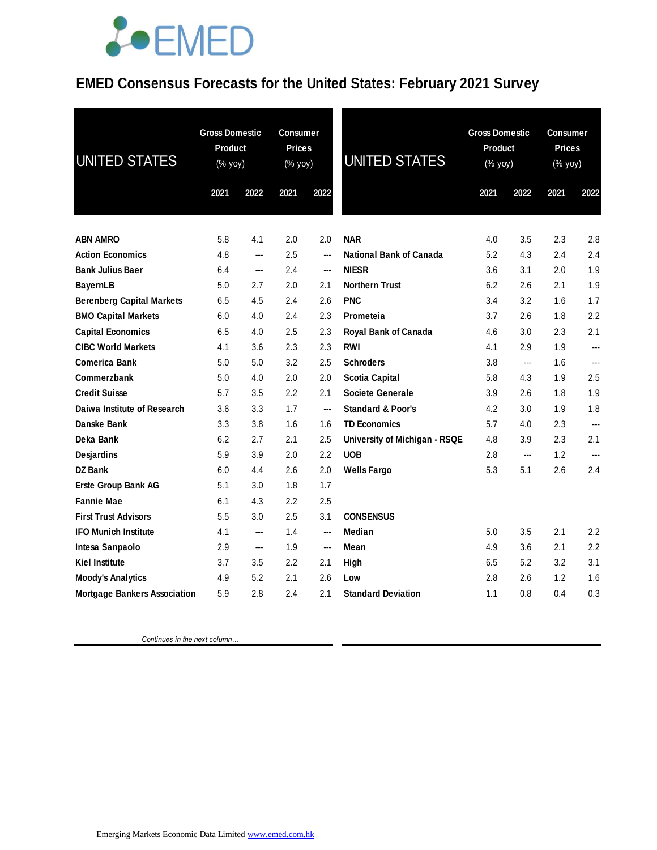#### **EMED Consensus Forecasts for the United States: February 2021 Survey**

| UNITED STATES                       | <b>Gross Domestic</b><br>Product<br>(% yoy) |      | <b>Consumer</b><br><b>Prices</b><br>(% yoy) |      | <b>UNITED STATES</b>          | <b>Gross Domestic</b><br>Product<br>(% yoy) |      | <b>Consumer</b><br><b>Prices</b><br>(% yoy) |      |
|-------------------------------------|---------------------------------------------|------|---------------------------------------------|------|-------------------------------|---------------------------------------------|------|---------------------------------------------|------|
|                                     | 2021                                        | 2022 | 2021                                        | 2022 |                               | 2021                                        | 2022 | 2021                                        | 2022 |
|                                     |                                             |      |                                             |      |                               |                                             |      |                                             |      |
| <b>ABN AMRO</b>                     | 5.8                                         | 4.1  | 2.0                                         | 2.0  | <b>NAR</b>                    | 4.0                                         | 3.5  | 2.3                                         | 2.8  |
| <b>Action Economics</b>             | 4.8                                         | ---  | 2.5                                         | ---  | National Bank of Canada       | 5.2                                         | 4.3  | 2.4                                         | 2.4  |
| <b>Bank Julius Baer</b>             | 6.4                                         | ---  | 2.4                                         | ---  | <b>NIESR</b>                  | 3.6                                         | 3.1  | 2.0                                         | 1.9  |
| <b>BayernLB</b>                     | 5.0                                         | 2.7  | 2.0                                         | 2.1  | <b>Northern Trust</b>         | 6.2                                         | 2.6  | 2.1                                         | 1.9  |
| <b>Berenberg Capital Markets</b>    | 6.5                                         | 4.5  | 2.4                                         | 2.6  | <b>PNC</b>                    | 3.4                                         | 3.2  | 1.6                                         | 1.7  |
| <b>BMO Capital Markets</b>          | 6.0                                         | 4.0  | 2.4                                         | 2.3  | Prometeia                     | 3.7                                         | 2.6  | 1.8                                         | 2.2  |
| <b>Capital Economics</b>            | 6.5                                         | 4.0  | 2.5                                         | 2.3  | Royal Bank of Canada          | 4.6                                         | 3.0  | 2.3                                         | 2.1  |
| <b>CIBC World Markets</b>           | 4.1                                         | 3.6  | 2.3                                         | 2.3  | <b>RWI</b>                    | 4.1                                         | 2.9  | 1.9                                         | ---  |
| <b>Comerica Bank</b>                | 5.0                                         | 5.0  | 3.2                                         | 2.5  | <b>Schroders</b>              | 3.8                                         | ---  | 1.6                                         | ---  |
| Commerzbank                         | 5.0                                         | 4.0  | 2.0                                         | 2.0  | <b>Scotia Capital</b>         | 5.8                                         | 4.3  | 1.9                                         | 2.5  |
| <b>Credit Suisse</b>                | 5.7                                         | 3.5  | 2.2                                         | 2.1  | <b>Societe Generale</b>       | 3.9                                         | 2.6  | 1.8                                         | 1.9  |
| Daiwa Institute of Research         | 3.6                                         | 3.3  | 1.7                                         | ---  | <b>Standard &amp; Poor's</b>  | 4.2                                         | 3.0  | 1.9                                         | 1.8  |
| Danske Bank                         | 3.3                                         | 3.8  | 1.6                                         | 1.6  | <b>TD Economics</b>           | 5.7                                         | 4.0  | 2.3                                         | ---  |
| Deka Bank                           | 6.2                                         | 2.7  | 2.1                                         | 2.5  | University of Michigan - RSQE | 4.8                                         | 3.9  | 2.3                                         | 2.1  |
| Desjardins                          | 5.9                                         | 3.9  | 2.0                                         | 2.2  | <b>UOB</b>                    | 2.8                                         | ---  | 1.2                                         | ---  |
| <b>DZ Bank</b>                      | 6.0                                         | 4.4  | 2.6                                         | 2.0  | <b>Wells Fargo</b>            | 5.3                                         | 5.1  | 2.6                                         | 2.4  |
| Erste Group Bank AG                 | 5.1                                         | 3.0  | 1.8                                         | 1.7  |                               |                                             |      |                                             |      |
| <b>Fannie Mae</b>                   | 6.1                                         | 4.3  | 2.2                                         | 2.5  |                               |                                             |      |                                             |      |
| <b>First Trust Advisors</b>         | 5.5                                         | 3.0  | 2.5                                         | 3.1  | <b>CONSENSUS</b>              |                                             |      |                                             |      |
| <b>IFO Munich Institute</b>         | 4.1                                         | ---  | 1.4                                         | ---  | Median                        | 5.0                                         | 3.5  | 2.1                                         | 2.2  |
| Intesa Sanpaolo                     | 2.9                                         | ---  | 1.9                                         | ---  | Mean                          | 4.9                                         | 3.6  | 2.1                                         | 2.2  |
| <b>Kiel Institute</b>               | 3.7                                         | 3.5  | 2.2                                         | 2.1  | High                          | 6.5                                         | 5.2  | 3.2                                         | 3.1  |
| <b>Moody's Analytics</b>            | 4.9                                         | 5.2  | 2.1                                         | 2.6  | Low                           | 2.8                                         | 2.6  | 1.2                                         | 1.6  |
| <b>Mortgage Bankers Association</b> | 5.9                                         | 2.8  | 2.4                                         | 2.1  | <b>Standard Deviation</b>     | 1.1                                         | 0.8  | 0.4                                         | 0.3  |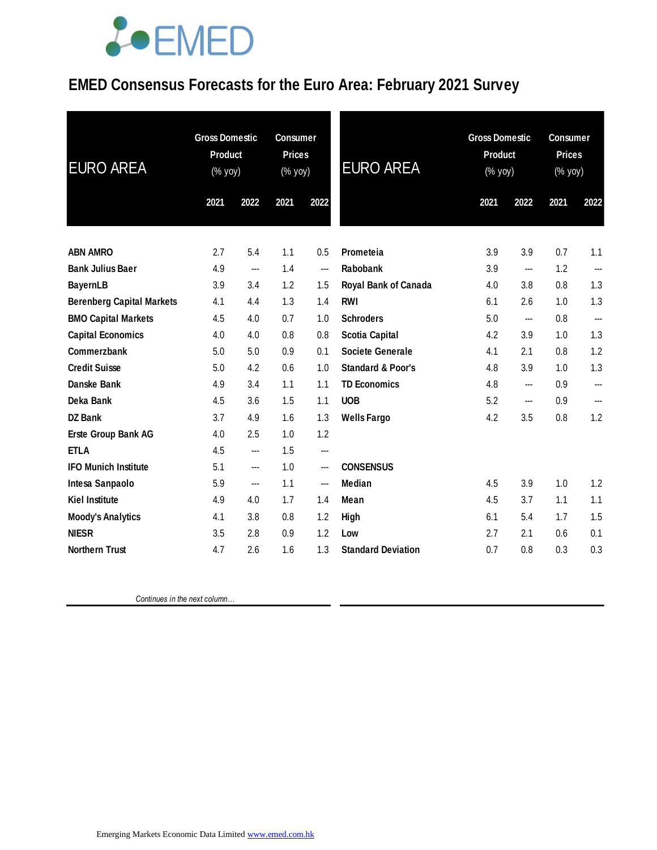### **EMED Consensus Forecasts for the Euro Area: February 2021 Survey**

| <b>EURO AREA</b>                 |      | <b>Gross Domestic</b><br>Product<br>(% yoy) |      | <b>Consumer</b><br><b>Prices</b><br>(% yoy) | <b>EURO AREA</b>             | <b>Gross Domestic</b><br><b>Product</b><br>(% yoy) |                          | <b>Consumer</b><br><b>Prices</b><br>$(% \mathsf{Y}\cup \mathsf{Y})$ (% $\mathsf{Y}\cup \mathsf{Y}$ ) |                |
|----------------------------------|------|---------------------------------------------|------|---------------------------------------------|------------------------------|----------------------------------------------------|--------------------------|------------------------------------------------------------------------------------------------------|----------------|
|                                  | 2021 | 2022                                        | 2021 | 2022                                        |                              | 2021                                               | 2022                     | 2021                                                                                                 | 2022           |
| <b>ABN AMRO</b>                  | 2.7  | 5.4                                         | 1.1  | 0.5                                         | Prometeia                    | 3.9                                                | 3.9                      | 0.7                                                                                                  | 1.1            |
| <b>Bank Julius Baer</b>          | 4.9  | ---                                         | 1.4  | $\qquad \qquad \cdots$                      | Rabobank                     | 3.9                                                | $\overline{\phantom{a}}$ | 1.2                                                                                                  | $\overline{a}$ |
| <b>BayernLB</b>                  | 3.9  | 3.4                                         | 1.2  | 1.5                                         | Royal Bank of Canada         | 4.0                                                | 3.8                      | 0.8                                                                                                  | 1.3            |
| <b>Berenberg Capital Markets</b> | 4.1  | 4.4                                         | 1.3  | 1.4                                         | <b>RWI</b>                   | 6.1                                                | 2.6                      | 1.0                                                                                                  | 1.3            |
| <b>BMO Capital Markets</b>       | 4.5  | 4.0                                         | 0.7  | 1.0                                         | <b>Schroders</b>             | 5.0                                                | ---                      | 0.8                                                                                                  | ---            |
| <b>Capital Economics</b>         | 4.0  | 4.0                                         | 0.8  | 0.8                                         | <b>Scotia Capital</b>        | 4.2                                                | 3.9                      | 1.0                                                                                                  | 1.3            |
| Commerzbank                      | 5.0  | 5.0                                         | 0.9  | 0.1                                         | <b>Societe Generale</b>      | 4.1                                                | 2.1                      | 0.8                                                                                                  | 1.2            |
| <b>Credit Suisse</b>             | 5.0  | 4.2                                         | 0.6  | 1.0                                         | <b>Standard &amp; Poor's</b> | 4.8                                                | 3.9                      | 1.0                                                                                                  | 1.3            |
| <b>Danske Bank</b>               | 4.9  | 3.4                                         | 1.1  | 1.1                                         | <b>TD Economics</b>          | 4.8                                                | ---                      | 0.9                                                                                                  |                |
| Deka Bank                        | 4.5  | 3.6                                         | 1.5  | 1.1                                         | <b>UOB</b>                   | 5.2                                                | $\hspace{0.05cm} \ldots$ | 0.9                                                                                                  | ---            |
| DZ Bank                          | 3.7  | 4.9                                         | 1.6  | 1.3                                         | <b>Wells Fargo</b>           | 4.2                                                | 3.5                      | 0.8                                                                                                  | 1.2            |
| Erste Group Bank AG              | 4.0  | 2.5                                         | 1.0  | 1.2                                         |                              |                                                    |                          |                                                                                                      |                |
| <b>ETLA</b>                      | 4.5  | ---                                         | 1.5  | $\qquad \qquad \cdots$                      |                              |                                                    |                          |                                                                                                      |                |
| <b>IFO Munich Institute</b>      | 5.1  | ---                                         | 1.0  | $\overline{\phantom{a}}$                    | <b>CONSENSUS</b>             |                                                    |                          |                                                                                                      |                |
| Intesa Sanpaolo                  | 5.9  | ---                                         | 1.1  | $\qquad \qquad \cdots$                      | <b>Median</b>                | 4.5                                                | 3.9                      | 1.0                                                                                                  | 1.2            |
| <b>Kiel Institute</b>            | 4.9  | 4.0                                         | 1.7  | 1.4                                         | Mean                         | 4.5                                                | 3.7                      | 1.1                                                                                                  | 1.1            |
| <b>Moody's Analytics</b>         | 4.1  | 3.8                                         | 0.8  | 1.2                                         | High                         | 6.1                                                | 5.4                      | 1.7                                                                                                  | 1.5            |
| <b>NIESR</b>                     | 3.5  | 2.8                                         | 0.9  | 1.2                                         | Low                          | 2.7                                                | 2.1                      | 0.6                                                                                                  | 0.1            |
| <b>Northern Trust</b>            | 4.7  | 2.6                                         | 1.6  | 1.3                                         | <b>Standard Deviation</b>    | 0.7                                                | 0.8                      | 0.3                                                                                                  | 0.3            |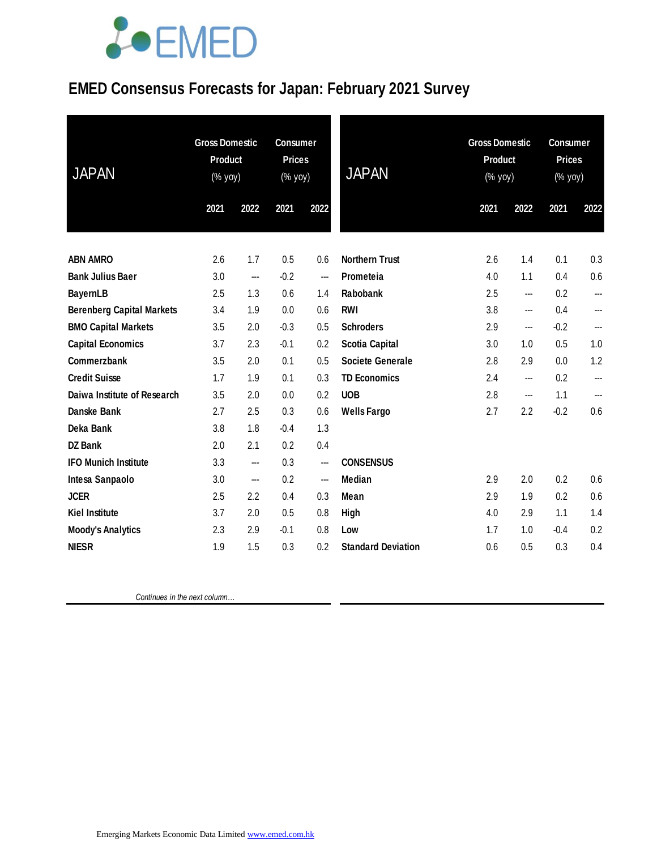### **EMED Consensus Forecasts for Japan: February 2021 Survey**

| <b>JAPAN</b>                     | <b>Gross Domestic</b><br><b>Product</b><br>(% yoy) |      | <b>Consumer</b><br><b>Prices</b><br>$(\%$ yoy) |                          | <b>JAPAN</b>              | <b>Gross Domestic</b><br><b>Product</b><br>$(% \mathsf{A}\rightarrow \mathsf{A})$ (% yoy) |      | <b>Consumer</b><br><b>Prices</b><br>(% yoy) |      |
|----------------------------------|----------------------------------------------------|------|------------------------------------------------|--------------------------|---------------------------|-------------------------------------------------------------------------------------------|------|---------------------------------------------|------|
|                                  | 2021                                               | 2022 | 2021                                           | 2022                     |                           | 2021                                                                                      | 2022 | 2021                                        | 2022 |
| <b>ABN AMRO</b>                  | 2.6                                                | 1.7  | 0.5                                            | 0.6                      | <b>Northern Trust</b>     | 2.6                                                                                       | 1.4  | 0.1                                         | 0.3  |
| <b>Bank Julius Baer</b>          | 3.0                                                | ---  | $-0.2$                                         | $\sim$                   | Prometeia                 | 4.0                                                                                       | 1.1  | 0.4                                         | 0.6  |
| <b>BayernLB</b>                  | 2.5                                                | 1.3  | 0.6                                            | 1.4                      | Rabobank                  | 2.5                                                                                       | ---  | 0.2                                         | ---  |
| <b>Berenberg Capital Markets</b> | 3.4                                                | 1.9  | 0.0                                            | 0.6                      | <b>RWI</b>                | 3.8                                                                                       | ---  | 0.4                                         | ---  |
| <b>BMO Capital Markets</b>       | 3.5                                                | 2.0  | $-0.3$                                         | 0.5                      | <b>Schroders</b>          | 2.9                                                                                       | ---  | $-0.2$                                      | ---  |
| <b>Capital Economics</b>         | 3.7                                                | 2.3  | $-0.1$                                         | 0.2                      | <b>Scotia Capital</b>     | 3.0                                                                                       | 1.0  | 0.5                                         | 1.0  |
| Commerzbank                      | 3.5                                                | 2.0  | 0.1                                            | 0.5                      | <b>Societe Generale</b>   | 2.8                                                                                       | 2.9  | 0.0                                         | 1.2  |
| <b>Credit Suisse</b>             | 1.7                                                | 1.9  | 0.1                                            | 0.3                      | <b>TD Economics</b>       | 2.4                                                                                       | ---  | 0.2                                         | ---  |
| Daiwa Institute of Research      | 3.5                                                | 2.0  | 0.0                                            | 0.2                      | <b>UOB</b>                | 2.8                                                                                       | ---  | 1.1                                         | ---  |
| <b>Danske Bank</b>               | 2.7                                                | 2.5  | 0.3                                            | 0.6                      | <b>Wells Fargo</b>        | 2.7                                                                                       | 2.2  | $-0.2$                                      | 0.6  |
| Deka Bank                        | 3.8                                                | 1.8  | $-0.4$                                         | 1.3                      |                           |                                                                                           |      |                                             |      |
| <b>DZ Bank</b>                   | 2.0                                                | 2.1  | 0.2                                            | 0.4                      |                           |                                                                                           |      |                                             |      |
| <b>IFO Munich Institute</b>      | 3.3                                                | ---  | 0.3                                            | $\overline{\phantom{a}}$ | <b>CONSENSUS</b>          |                                                                                           |      |                                             |      |
| Intesa Sanpaolo                  | 3.0                                                | ---  | 0.2                                            | ---                      | <b>Median</b>             | 2.9                                                                                       | 2.0  | 0.2                                         | 0.6  |
| <b>JCER</b>                      | 2.5                                                | 2.2  | 0.4                                            | 0.3                      | Mean                      | 2.9                                                                                       | 1.9  | 0.2                                         | 0.6  |
| <b>Kiel Institute</b>            | 3.7                                                | 2.0  | 0.5                                            | 0.8                      | High                      | 4.0                                                                                       | 2.9  | 1.1                                         | 1.4  |
| <b>Moody's Analytics</b>         | 2.3                                                | 2.9  | $-0.1$                                         | 0.8                      | Low                       | 1.7                                                                                       | 1.0  | $-0.4$                                      | 0.2  |
| <b>NIESR</b>                     | 1.9                                                | 1.5  | 0.3                                            | 0.2                      | <b>Standard Deviation</b> | 0.6                                                                                       | 0.5  | 0.3                                         | 0.4  |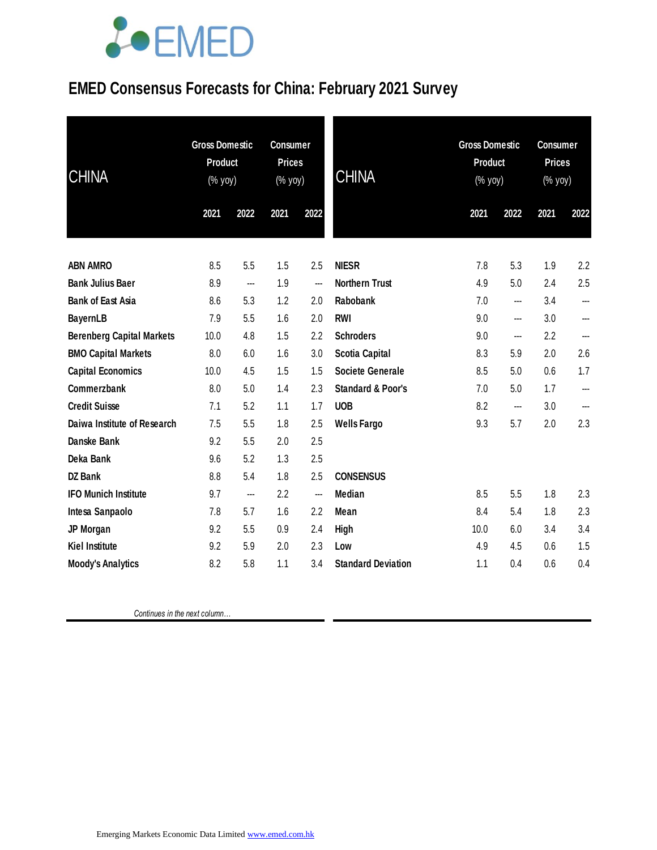### **EMED Consensus Forecasts for China: February 2021 Survey**

| <b>CHINA</b>                     | <b>Gross Domestic</b><br>Product<br>(% yoy) |      | <b>Consumer</b><br><b>Prices</b><br>(% yoy) |      | <b>CHINA</b>                 | <b>Gross Domestic</b><br>Product<br>$(\%$ yoy) |      | <b>Consumer</b><br><b>Prices</b><br>(% yoy) |      |
|----------------------------------|---------------------------------------------|------|---------------------------------------------|------|------------------------------|------------------------------------------------|------|---------------------------------------------|------|
|                                  | 2021                                        | 2022 | 2021                                        | 2022 |                              | 2021                                           | 2022 | 2021                                        | 2022 |
| <b>ABN AMRO</b>                  | 8.5                                         | 5.5  | 1.5                                         | 2.5  | <b>NIESR</b>                 | 7.8                                            | 5.3  | 1.9                                         | 2.2  |
| <b>Bank Julius Baer</b>          | 8.9                                         | ---  | 1.9                                         | ---  | <b>Northern Trust</b>        | 4.9                                            | 5.0  | 2.4                                         | 2.5  |
| <b>Bank of East Asia</b>         | 8.6                                         | 5.3  | 1.2                                         | 2.0  | Rabobank                     | 7.0                                            | ---  | 3.4                                         | ---  |
| <b>BayernLB</b>                  | 7.9                                         | 5.5  | 1.6                                         | 2.0  | <b>RWI</b>                   | 9.0                                            | ---  | 3.0                                         | ---  |
| <b>Berenberg Capital Markets</b> | 10.0                                        | 4.8  | 1.5                                         | 2.2  | <b>Schroders</b>             | 9.0                                            | ---  | 2.2                                         | ---  |
| <b>BMO Capital Markets</b>       | 8.0                                         | 6.0  | 1.6                                         | 3.0  | <b>Scotia Capital</b>        | 8.3                                            | 5.9  | 2.0                                         | 2.6  |
| <b>Capital Economics</b>         | 10.0                                        | 4.5  | 1.5                                         | 1.5  | <b>Societe Generale</b>      | 8.5                                            | 5.0  | 0.6                                         | 1.7  |
| Commerzbank                      | 8.0                                         | 5.0  | 1.4                                         | 2.3  | <b>Standard &amp; Poor's</b> | 7.0                                            | 5.0  | 1.7                                         | ---  |
| <b>Credit Suisse</b>             | 7.1                                         | 5.2  | 1.1                                         | 1.7  | <b>UOB</b>                   | 8.2                                            | ---  | 3.0                                         |      |
| Daiwa Institute of Research      | 7.5                                         | 5.5  | 1.8                                         | 2.5  | <b>Wells Fargo</b>           | 9.3                                            | 5.7  | 2.0                                         | 2.3  |
| <b>Danske Bank</b>               | 9.2                                         | 5.5  | 2.0                                         | 2.5  |                              |                                                |      |                                             |      |
| Deka Bank                        | 9.6                                         | 5.2  | 1.3                                         | 2.5  |                              |                                                |      |                                             |      |
| <b>DZ Bank</b>                   | 8.8                                         | 5.4  | 1.8                                         | 2.5  | <b>CONSENSUS</b>             |                                                |      |                                             |      |
| <b>IFO Munich Institute</b>      | 9.7                                         | ---  | 2.2                                         | ---  | Median                       | 8.5                                            | 5.5  | 1.8                                         | 2.3  |
| Intesa Sanpaolo                  | 7.8                                         | 5.7  | 1.6                                         | 2.2  | Mean                         | 8.4                                            | 5.4  | 1.8                                         | 2.3  |
| JP Morgan                        | 9.2                                         | 5.5  | 0.9                                         | 2.4  | High                         | 10.0                                           | 6.0  | 3.4                                         | 3.4  |
| <b>Kiel Institute</b>            | 9.2                                         | 5.9  | 2.0                                         | 2.3  | Low                          | 4.9                                            | 4.5  | 0.6                                         | 1.5  |
| <b>Moody's Analytics</b>         | 8.2                                         | 5.8  | 1.1                                         | 3.4  | <b>Standard Deviation</b>    | 1.1                                            | 0.4  | 0.6                                         | 0.4  |